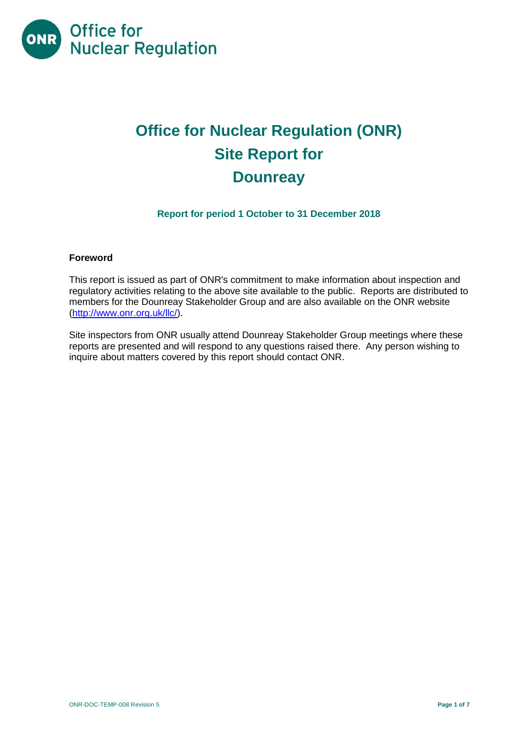

# **Office for Nuclear Regulation (ONR) Site Report for Dounreay**

### **Report for period 1 October to 31 December 2018**

#### **Foreword**

This report is issued as part of ONR's commitment to make information about inspection and regulatory activities relating to the above site available to the public. Reports are distributed to members for the Dounreay Stakeholder Group and are also available on the ONR website [\(http://www.onr.org.uk/llc/\)](http://www.onr.org.uk/llc/).

Site inspectors from ONR usually attend Dounreay Stakeholder Group meetings where these reports are presented and will respond to any questions raised there. Any person wishing to inquire about matters covered by this report should contact ONR.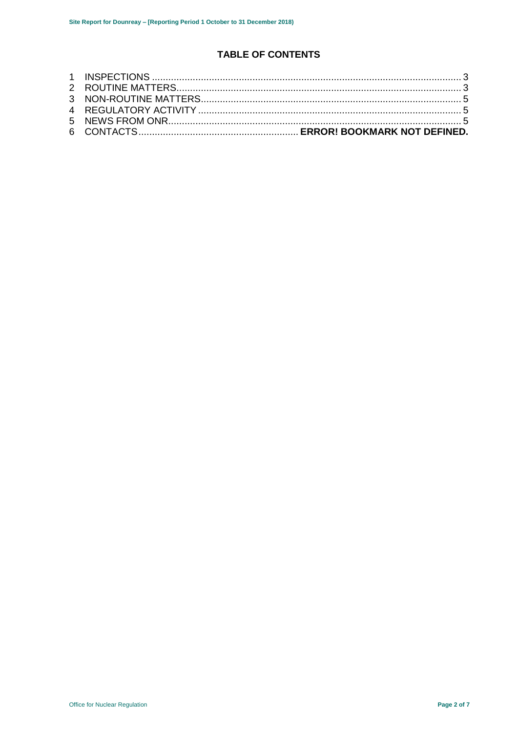# **TABLE OF CONTENTS**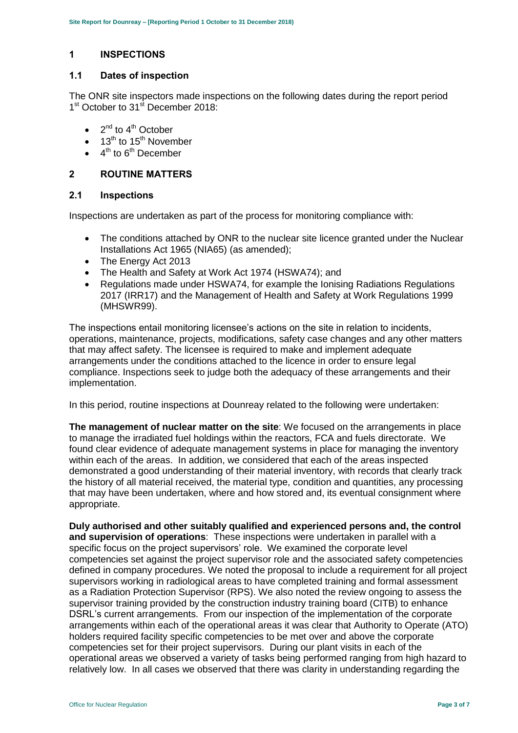## <span id="page-2-0"></span>**1 INSPECTIONS**

#### **1.1 Dates of inspection**

The ONR site inspectors made inspections on the following dates during the report period 1<sup>st</sup> October to 31<sup>st</sup> December 2018:

- $\bullet$  2<sup>nd</sup> to 4<sup>th</sup> October
- $\bullet$  13<sup>th</sup> to 15<sup>th</sup> November
- $\bullet$  4<sup>th</sup> to 6<sup>th</sup> December

#### <span id="page-2-1"></span>**2 ROUTINE MATTERS**

#### **2.1 Inspections**

Inspections are undertaken as part of the process for monitoring compliance with:

- The conditions attached by ONR to the nuclear site licence granted under the Nuclear Installations Act 1965 (NIA65) (as amended);
- The Energy Act 2013
- The Health and Safety at Work Act 1974 (HSWA74); and
- Regulations made under HSWA74, for example the Ionising Radiations Regulations 2017 (IRR17) and the Management of Health and Safety at Work Regulations 1999 (MHSWR99).

The inspections entail monitoring licensee's actions on the site in relation to incidents, operations, maintenance, projects, modifications, safety case changes and any other matters that may affect safety. The licensee is required to make and implement adequate arrangements under the conditions attached to the licence in order to ensure legal compliance. Inspections seek to judge both the adequacy of these arrangements and their implementation.

In this period, routine inspections at Dounreay related to the following were undertaken:

**The management of nuclear matter on the site**: We focused on the arrangements in place to manage the irradiated fuel holdings within the reactors, FCA and fuels directorate. We found clear evidence of adequate management systems in place for managing the inventory within each of the areas. In addition, we considered that each of the areas inspected demonstrated a good understanding of their material inventory, with records that clearly track the history of all material received, the material type, condition and quantities, any processing that may have been undertaken, where and how stored and, its eventual consignment where appropriate.

**Duly authorised and other suitably qualified and experienced persons and, the control and supervision of operations**: These inspections were undertaken in parallel with a specific focus on the project supervisors' role. We examined the corporate level competencies set against the project supervisor role and the associated safety competencies defined in company procedures. We noted the proposal to include a requirement for all project supervisors working in radiological areas to have completed training and formal assessment as a Radiation Protection Supervisor (RPS). We also noted the review ongoing to assess the supervisor training provided by the construction industry training board (CITB) to enhance DSRL's current arrangements. From our inspection of the implementation of the corporate arrangements within each of the operational areas it was clear that Authority to Operate (ATO) holders required facility specific competencies to be met over and above the corporate competencies set for their project supervisors. During our plant visits in each of the operational areas we observed a variety of tasks being performed ranging from high hazard to relatively low. In all cases we observed that there was clarity in understanding regarding the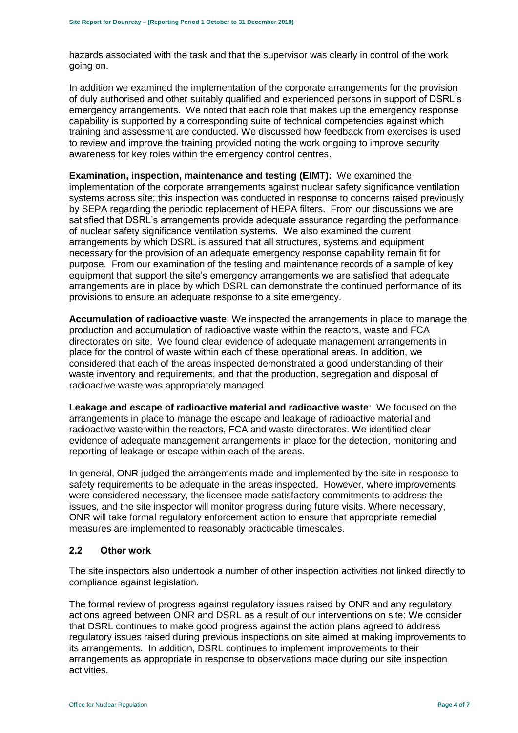hazards associated with the task and that the supervisor was clearly in control of the work going on.

In addition we examined the implementation of the corporate arrangements for the provision of duly authorised and other suitably qualified and experienced persons in support of DSRL's emergency arrangements. We noted that each role that makes up the emergency response capability is supported by a corresponding suite of technical competencies against which training and assessment are conducted. We discussed how feedback from exercises is used to review and improve the training provided noting the work ongoing to improve security awareness for key roles within the emergency control centres.

**Examination, inspection, maintenance and testing (EIMT):** We examined the implementation of the corporate arrangements against nuclear safety significance ventilation systems across site; this inspection was conducted in response to concerns raised previously by SEPA regarding the periodic replacement of HEPA filters. From our discussions we are satisfied that DSRL's arrangements provide adequate assurance regarding the performance of nuclear safety significance ventilation systems. We also examined the current arrangements by which DSRL is assured that all structures, systems and equipment necessary for the provision of an adequate emergency response capability remain fit for purpose. From our examination of the testing and maintenance records of a sample of key equipment that support the site's emergency arrangements we are satisfied that adequate arrangements are in place by which DSRL can demonstrate the continued performance of its provisions to ensure an adequate response to a site emergency.

**Accumulation of radioactive waste**: We inspected the arrangements in place to manage the production and accumulation of radioactive waste within the reactors, waste and FCA directorates on site. We found clear evidence of adequate management arrangements in place for the control of waste within each of these operational areas. In addition, we considered that each of the areas inspected demonstrated a good understanding of their waste inventory and requirements, and that the production, segregation and disposal of radioactive waste was appropriately managed.

**Leakage and escape of radioactive material and radioactive waste**: We focused on the arrangements in place to manage the escape and leakage of radioactive material and radioactive waste within the reactors, FCA and waste directorates. We identified clear evidence of adequate management arrangements in place for the detection, monitoring and reporting of leakage or escape within each of the areas.

In general, ONR judged the arrangements made and implemented by the site in response to safety requirements to be adequate in the areas inspected. However, where improvements were considered necessary, the licensee made satisfactory commitments to address the issues, and the site inspector will monitor progress during future visits. Where necessary, ONR will take formal regulatory enforcement action to ensure that appropriate remedial measures are implemented to reasonably practicable timescales.

#### **2.2 Other work**

The site inspectors also undertook a number of other inspection activities not linked directly to compliance against legislation.

The formal review of progress against regulatory issues raised by ONR and any regulatory actions agreed between ONR and DSRL as a result of our interventions on site: We consider that DSRL continues to make good progress against the action plans agreed to address regulatory issues raised during previous inspections on site aimed at making improvements to its arrangements. In addition, DSRL continues to implement improvements to their arrangements as appropriate in response to observations made during our site inspection activities.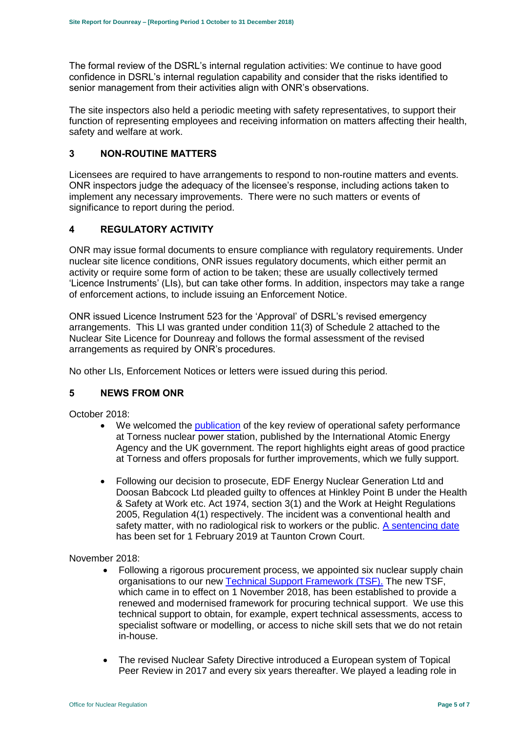The formal review of the DSRL's internal regulation activities: We continue to have good confidence in DSRL's internal regulation capability and consider that the risks identified to senior management from their activities align with ONR's observations.

The site inspectors also held a periodic meeting with safety representatives, to support their function of representing employees and receiving information on matters affecting their health, safety and welfare at work.

#### <span id="page-4-0"></span>**3 NON-ROUTINE MATTERS**

Licensees are required to have arrangements to respond to non-routine matters and events. ONR inspectors judge the adequacy of the licensee's response, including actions taken to implement any necessary improvements. There were no such matters or events of significance to report during the period.

#### <span id="page-4-1"></span>**4 REGULATORY ACTIVITY**

ONR may issue formal documents to ensure compliance with regulatory requirements. Under nuclear site licence conditions, ONR issues regulatory documents, which either permit an activity or require some form of action to be taken; these are usually collectively termed 'Licence Instruments' (LIs), but can take other forms. In addition, inspectors may take a range of enforcement actions, to include issuing an Enforcement Notice.

ONR issued Licence Instrument 523 for the 'Approval' of DSRL's revised emergency arrangements. This LI was granted under condition 11(3) of Schedule 2 attached to the Nuclear Site Licence for Dounreay and follows the formal assessment of the revised arrangements as required by ONR's procedures.

No other LIs, Enforcement Notices or letters were issued during this period.

#### <span id="page-4-2"></span>**5 NEWS FROM ONR**

October 2018:

- We welcomed the [publication](http://news.onr.org.uk/2018/10/iaea-review-torness-power-station/) of the key review of operational safety performance at Torness nuclear power station, published by the International Atomic Energy Agency and the UK government. The report highlights eight areas of good practice at Torness and offers proposals for further improvements, which we fully support.
- Following our decision to prosecute, EDF Energy Nuclear Generation Ltd and Doosan Babcock Ltd pleaded guilty to offences at Hinkley Point B under the Health & Safety at Work etc. Act 1974, section 3(1) and the Work at Height Regulations 2005, Regulation 4(1) respectively. The incident was a conventional health and safety matter, with no radiological risk to workers or the public. [A sentencing date](http://news.onr.org.uk/2018/10/edf-and-doosan-babcock-plead-guilty/) has been set for 1 February 2019 at Taunton Crown Court.

November 2018:

- Following a rigorous procurement process, we appointed six nuclear supply chain organisations to our new [Technical Support Framework \(TSF\).](http://news.onr.org.uk/2018/11/new-technical-support-framework-announced/) The new TSF, which came in to effect on 1 November 2018, has been established to provide a renewed and modernised framework for procuring technical support. We use this technical support to obtain, for example, expert technical assessments, access to specialist software or modelling, or access to niche skill sets that we do not retain in-house.
- The revised Nuclear Safety Directive introduced a European system of Topical Peer Review in 2017 and every six years thereafter. We played a leading role in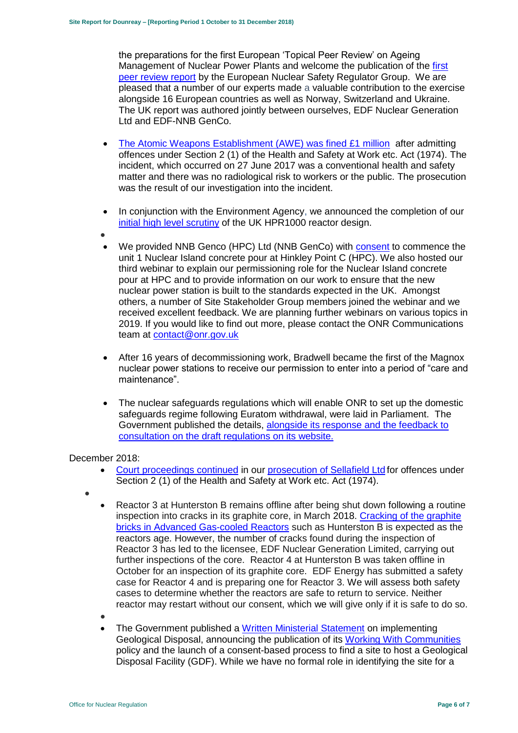the preparations for the first European 'Topical Peer Review' on Ageing Management of Nuclear Power Plants and welcome the publication of the [first](http://news.onr.org.uk/2018/11/onr-welcomes-first-topical-peer-review/)  [peer review report](http://news.onr.org.uk/2018/11/onr-welcomes-first-topical-peer-review/) by the European Nuclear Safety Regulator Group. We are pleased that a number of our experts made a valuable contribution to the exercise alongside 16 European countries as well as Norway, Switzerland and Ukraine. The UK report was authored jointly between ourselves, EDF Nuclear Generation Ltd and EDF-NNB GenCo.

- [The Atomic Weapons Establishment \(AWE\) was fined £1 million](http://news.onr.org.uk/2018/11/awe-prosecution-reaction/) after admitting offences under Section 2 (1) of the Health and Safety at Work etc. Act (1974). The incident, which occurred on 27 June 2017 was a conventional health and safety matter and there was no radiological risk to workers or the public. The prosecution was the result of our investigation into the incident.
- In conjunction with the Environment Agency, we announced the completion of our [initial high level scrutiny](http://news.onr.org.uk/2018/11/uk-hpr1000-completes-gda-step-2/) of the UK HPR1000 reactor design.
- $\bullet$
- We provided NNB Genco (HPC) Ltd (NNB GenCo) with [consent](http://news.onr.org.uk/2018/11/consent-for-hinkley-point-c-nuclear-island-concrete-pour/) to commence the unit 1 Nuclear Island concrete pour at Hinkley Point C (HPC). We also hosted our third webinar to explain our permissioning role for the Nuclear Island concrete pour at HPC and to provide information on our work to ensure that the new nuclear power station is built to the standards expected in the UK. Amongst others, a number of Site Stakeholder Group members joined the webinar and we received excellent feedback. We are planning further webinars on various topics in 2019. If you would like to find out more, please contact the ONR Communications team at [contact@onr.gov.uk](mailto:contact@onr.gov.uk)
- After 16 years of decommissioning work, Bradwell became the first of the Magnox nuclear power stations to receive our permission to enter into a period of "care and maintenance".
- The nuclear safeguards regulations which will enable ONR to set up the domestic safeguards regime following Euratom withdrawal, were laid in Parliament. The Government published the details, [alongside its response and the feedback to](https://www.gov.uk/government/consultations/nuclear-safeguards-regulations)  [consultation on the draft regulations on its website.](https://www.gov.uk/government/consultations/nuclear-safeguards-regulations)

#### December 2018:

- [Court proceedings continued](http://news.onr.org.uk/2018/12/prosecution-of-sellafield-ltd/) in our [prosecution of Sellafield Ltd](http://news.onr.org.uk/2018/07/update-prosecution-of-sellafield-ltd/) for offences under Section 2 (1) of the Health and Safety at Work etc. Act (1974).
- $\bullet$
- Reactor 3 at Hunterston B remains offline after being shut down following a routine inspection into cracks in its graphite core, in March 2018. Cracking of the graphite [bricks in Advanced Gas-cooled Reactors](http://www.onr.org.uk/civil-nuclear-reactors/graphite-core-of-agrs.htm) such as Hunterston B is expected as the reactors age. However, the number of cracks found during the inspection of Reactor 3 has led to the licensee, EDF Nuclear Generation Limited, carrying out further inspections of the core. Reactor 4 at Hunterston B was taken offline in October for an inspection of its graphite core. EDF Energy has submitted a safety case for Reactor 4 and is preparing one for Reactor 3. We will assess both safety cases to determine whether the reactors are safe to return to service. Neither reactor may restart without our consent, which we will give only if it is safe to do so.
- $\bullet$
- The Government published a [Written Ministerial Statement](https://www.parliament.uk/business/publications/written-questions-answers-statements/written-statement/Commons/2018-12-19/HCWS1217/) on implementing Geological Disposal, announcing the publication of its [Working With Communities](https://www.gov.uk/government/publications/implementing-geological-disposal-working-with-communities-long-term-management-of-higher-activity-radioactive-waste) policy and the launch of a consent-based process to find a site to host a Geological Disposal Facility (GDF). While we have no formal role in identifying the site for a